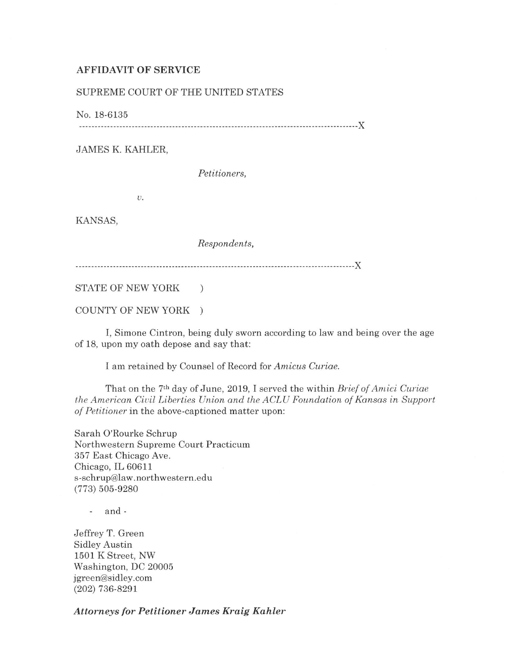## AFFIDAVIT OF SERVICE

## SUPREME COURT OF THE UNITED STATES

No. 18-6135

------------------------------------------------------------------------------------------)(

JAMES K. KAHLER,

*Petitioners,* 

*v.* 

KANSAS,

*Respondents,* 

------------------------------------------------------------------------------------------)(

STATE OF NEW YORK )

COUNTY OF NEW YORK )

I, Simone Cintron, being duly sworn according to law and being over the age of 18, upon my oath depose and say that:

I am retained by Counsel of Record for *Amicus Curiae.* 

That on the 7th day of June, 2019, I served the within *Brief of Amici Curiae the American Civil Liberties Union and the ACLU Foundation of Kansas in Support of Petitioner* in the above-captioned matter upon:

Sarah O'Rourke Schrup Northwestern Supreme Court Practicum 357 East Chicago Ave. Chicago, IL 60611 s-schrup@law.northwestern.edu (773) 505-9280

- and -

Jeffrey T. Green Sidley Austin 1501 K Street, NW Washington, DC 20005 jgreen@sidley.com (202) 736-8291

*Attorneys for Petitioner James Kraig Kahler*